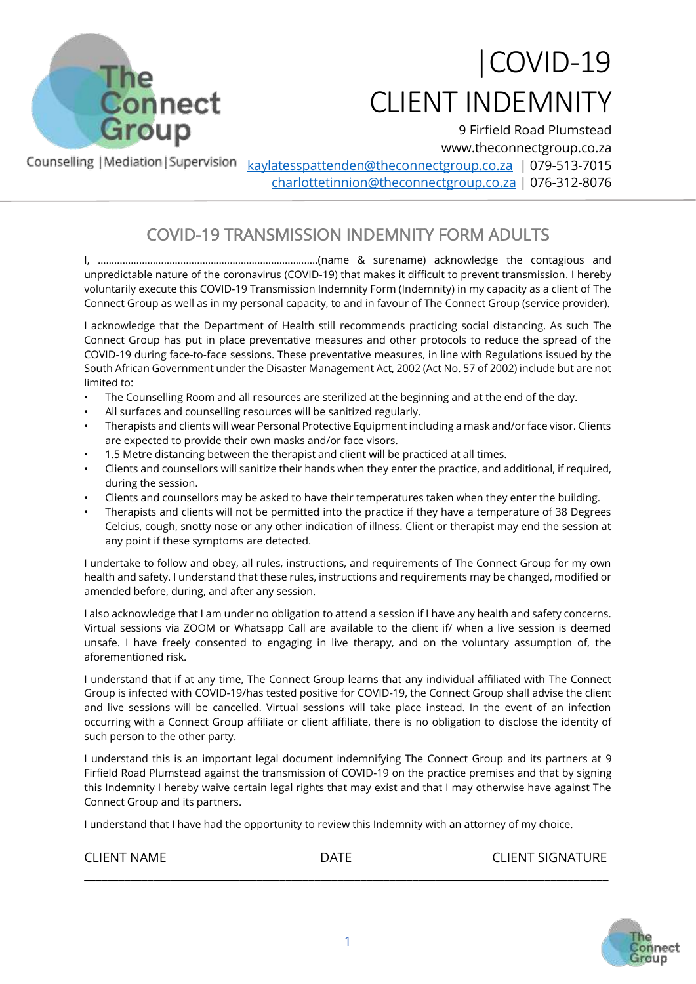

## |COVID-19 CLIENT INDEMNITY

9 Firfield Road Plumstead www.theconnectgroup.co.za Counselling | Mediation | Supervision [kaylatesspattenden@theconnectgroup.co.za](mailto:kaylatesspattenden@theconnectgroup.co.za) | 079-513-7015 [charlottetinnion@theconnectgroup.co.za](mailto:charlottetinnion@theconnectgroup.co.za) | 076-312-8076

## COVID-19 TRANSMISSION INDEMNITY FORM ADULTS

I, ……………………………………………………………………..(name & surename) acknowledge the contagious and unpredictable nature of the coronavirus (COVID-19) that makes it difficult to prevent transmission. I hereby voluntarily execute this COVID-19 Transmission Indemnity Form (Indemnity) in my capacity as a client of The Connect Group as well as in my personal capacity, to and in favour of The Connect Group (service provider).

I acknowledge that the Department of Health still recommends practicing social distancing. As such The Connect Group has put in place preventative measures and other protocols to reduce the spread of the COVID-19 during face-to-face sessions. These preventative measures, in line with Regulations issued by the South African Government under the Disaster Management Act, 2002 (Act No. 57 of 2002) include but are not limited to:

- The Counselling Room and all resources are sterilized at the beginning and at the end of the day.
- All surfaces and counselling resources will be sanitized regularly.
- Therapists and clients will wear Personal Protective Equipment including a mask and/or face visor. Clients are expected to provide their own masks and/or face visors.
- 1.5 Metre distancing between the therapist and client will be practiced at all times.
- Clients and counsellors will sanitize their hands when they enter the practice, and additional, if required, during the session.
- Clients and counsellors may be asked to have their temperatures taken when they enter the building.
- Therapists and clients will not be permitted into the practice if they have a temperature of 38 Degrees Celcius, cough, snotty nose or any other indication of illness. Client or therapist may end the session at any point if these symptoms are detected.

I undertake to follow and obey, all rules, instructions, and requirements of The Connect Group for my own health and safety. I understand that these rules, instructions and requirements may be changed, modified or amended before, during, and after any session.

I also acknowledge that I am under no obligation to attend a session if I have any health and safety concerns. Virtual sessions via ZOOM or Whatsapp Call are available to the client if/ when a live session is deemed unsafe. I have freely consented to engaging in live therapy, and on the voluntary assumption of, the aforementioned risk.

I understand that if at any time, The Connect Group learns that any individual affiliated with The Connect Group is infected with COVID-19/has tested positive for COVID-19, the Connect Group shall advise the client and live sessions will be cancelled. Virtual sessions will take place instead. In the event of an infection occurring with a Connect Group affiliate or client affiliate, there is no obligation to disclose the identity of such person to the other party.

I understand this is an important legal document indemnifying The Connect Group and its partners at 9 Firfield Road Plumstead against the transmission of COVID-19 on the practice premises and that by signing this Indemnity I hereby waive certain legal rights that may exist and that I may otherwise have against The Connect Group and its partners.

I understand that I have had the opportunity to review this Indemnity with an attorney of my choice.

| <b>CLIENT NAME</b> | ATF ר | <b>CLIENT SIGNATURE</b> |
|--------------------|-------|-------------------------|
|                    |       |                         |